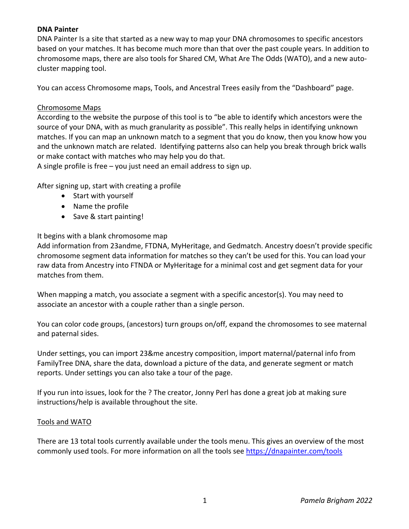# **DNA Painter**

DNA Painter Is a site that started as a new way to map your DNA chromosomes to specific ancestors based on your matches. It has become much more than that over the past couple years. In addition to chromosome maps, there are also tools for Shared CM, What Are The Odds (WATO), and a new autocluster mapping tool.

You can access Chromosome maps, Tools, and Ancestral Trees easily from the "Dashboard" page.

### Chromosome Maps

According to the website the purpose of this tool is to "be able to identify which ancestors were the source of your DNA, with as much granularity as possible". This really helps in identifying unknown matches. If you can map an unknown match to a segment that you do know, then you know how you and the unknown match are related. Identifying patterns also can help you break through brick walls or make contact with matches who may help you do that.

A single profile is free – you just need an email address to sign up.

After signing up, start with creating a profile

- Start with yourself
- Name the profile
- Save & start painting!

## It begins with a blank chromosome map

Add information from 23andme, FTDNA, MyHeritage, and Gedmatch. Ancestry doesn't provide specific chromosome segment data information for matches so they can't be used for this. You can load your raw data from Ancestry into FTNDA or MyHeritage for a minimal cost and get segment data for your matches from them.

When mapping a match, you associate a segment with a specific ancestor(s). You may need to associate an ancestor with a couple rather than a single person.

You can color code groups, (ancestors) turn groups on/off, expand the chromosomes to see maternal and paternal sides.

Under settings, you can import 23&me ancestry composition, import maternal/paternal info from FamilyTree DNA, share the data, download a picture of the data, and generate segment or match reports. Under settings you can also take a tour of the page.

If you run into issues, look for the ? The creator, Jonny Perl has done a great job at making sure instructions/help is available throughout the site.

#### Tools and WATO

There are 13 total tools currently available under the tools menu. This gives an overview of the most commonly used tools. For more information on all the tools see https://dnapainter.com/tools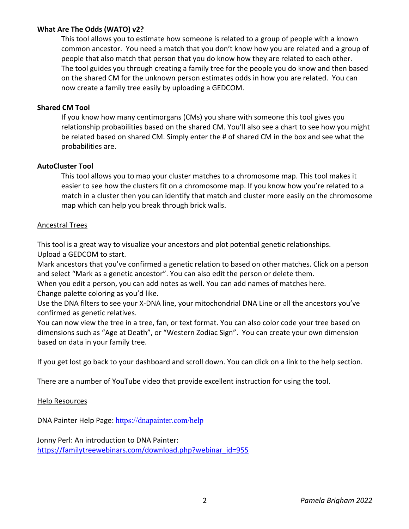# **What Are The Odds (WATO) v2?**

This tool allows you to estimate how someone is related to a group of people with a known common ancestor. You need a match that you don't know how you are related and a group of people that also match that person that you do know how they are related to each other. The tool guides you through creating a family tree for the people you do know and then based on the shared CM for the unknown person estimates odds in how you are related. You can now create a family tree easily by uploading a GEDCOM.

### **Shared CM Tool**

If you know how many centimorgans (CMs) you share with someone this tool gives you relationship probabilities based on the shared CM. You'll also see a chart to see how you might be related based on shared CM. Simply enter the # of shared CM in the box and see what the probabilities are.

### **AutoCluster Tool**

This tool allows you to map your cluster matches to a chromosome map. This tool makes it easier to see how the clusters fit on a chromosome map. If you know how you're related to a match in a cluster then you can identify that match and cluster more easily on the chromosome map which can help you break through brick walls.

### Ancestral Trees

This tool is a great way to visualize your ancestors and plot potential genetic relationships. Upload a GEDCOM to start.

Mark ancestors that you've confirmed a genetic relation to based on other matches. Click on a person and select "Mark as a genetic ancestor". You can also edit the person or delete them.

When you edit a person, you can add notes as well. You can add names of matches here. Change palette coloring as you'd like.

Use the DNA filters to see your X-DNA line, your mitochondrial DNA Line or all the ancestors you've confirmed as genetic relatives.

You can now view the tree in a tree, fan, or text format. You can also color code your tree based on dimensions such as "Age at Death", or "Western Zodiac Sign". You can create your own dimension based on data in your family tree.

If you get lost go back to your dashboard and scroll down. You can click on a link to the help section.

There are a number of YouTube video that provide excellent instruction for using the tool.

## Help Resources

DNA Painter Help Page: https://dnapainter.com/help

Jonny Perl: An introduction to DNA Painter: https://familytreewebinars.com/download.php?webinar\_id=955